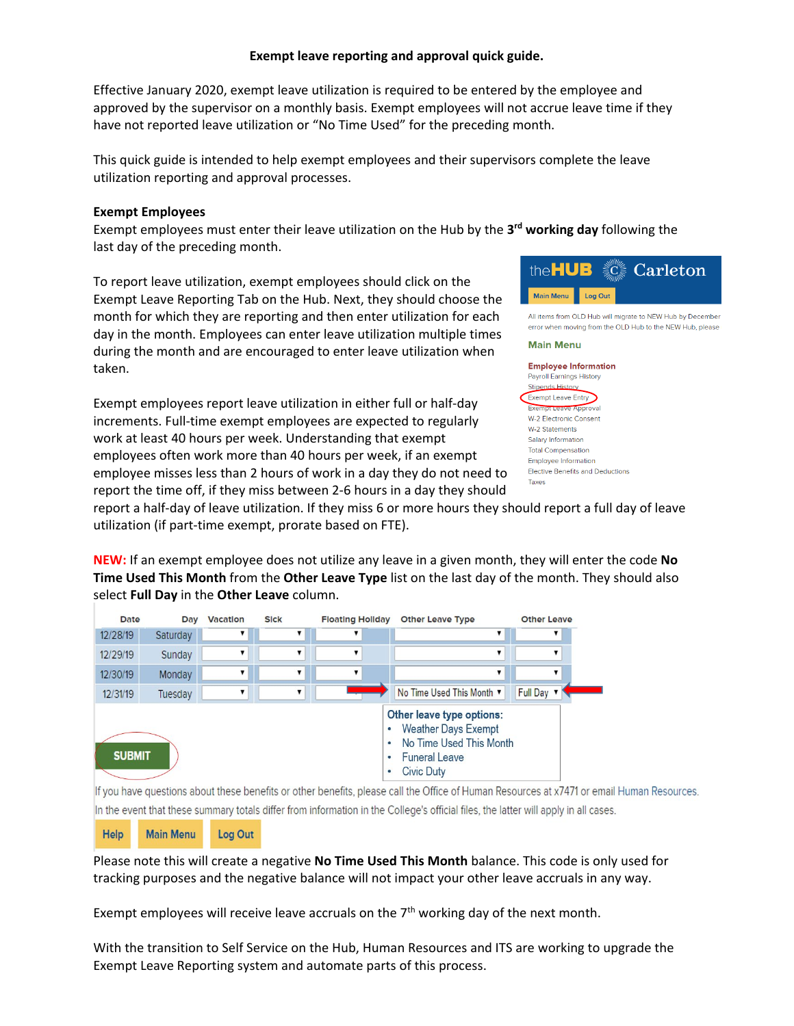## **Exempt leave reporting and approval quick guide.**

Effective January 2020, exempt leave utilization is required to be entered by the employee and approved by the supervisor on a monthly basis. Exempt employees will not accrue leave time if they have not reported leave utilization or "No Time Used" for the preceding month.

This quick guide is intended to help exempt employees and their supervisors complete the leave utilization reporting and approval processes.

### **Exempt Employees**

Exempt employees must enter their leave utilization on the Hub by the **3rd working day** following the last day of the preceding month.

To report leave utilization, exempt employees should click on the Exempt Leave Reporting Tab on the Hub. Next, they should choose the month for which they are reporting and then enter utilization for each day in the month. Employees can enter leave utilization multiple times during the month and are encouraged to enter leave utilization when taken.

Exempt employees report leave utilization in either full or half-day increments. Full-time exempt employees are expected to regularly work at least 40 hours per week. Understanding that exempt employees often work more than 40 hours per week, if an exempt employee misses less than 2 hours of work in a day they do not need to report the time off, if they miss between 2-6 hours in a day they should



report a half-day of leave utilization. If they miss 6 or more hours they should report a full day of leave utilization (if part-time exempt, prorate based on FTE).

**NEW:** If an exempt employee does not utilize any leave in a given month, they will enter the code **No Time Used This Month** from the **Other Leave Type** list on the last day of the month. They should also select **Full Day** in the **Other Leave** column.

| Date          | Day      | <b>Vacation</b> | <b>Sick</b> | <b>Floating Hollday</b> | <b>Other Leave Type</b>                                                                                                                                     | <b>Other Leave</b> |  |
|---------------|----------|-----------------|-------------|-------------------------|-------------------------------------------------------------------------------------------------------------------------------------------------------------|--------------------|--|
| 12/28/19      | Saturday |                 |             |                         |                                                                                                                                                             |                    |  |
| 12/29/19      | Sunday   |                 |             |                         |                                                                                                                                                             |                    |  |
| 12/30/19      | Monday   |                 |             |                         |                                                                                                                                                             |                    |  |
| 12/31/19      | Tuesday  |                 | ▼           |                         | No Time Used This Month ▼                                                                                                                                   | Full Day           |  |
| <b>SUBMIT</b> |          |                 |             |                         | Other leave type options:<br><b>Weather Days Exempt</b><br>٠<br>No Time Used This Month<br>٠<br><b>Funeral Leave</b><br>$\bullet$<br><b>Civic Duty</b><br>۰ |                    |  |

If you have questions about these benefits or other benefits, please call the Office of Human Resources at x7471 or email Human Resources. In the event that these summary totals differ from information in the College's official files, the latter will apply in all cases.

Help **Main Menu** Log Out

Please note this will create a negative **No Time Used This Month** balance. This code is only used for tracking purposes and the negative balance will not impact your other leave accruals in any way.

Exempt employees will receive leave accruals on the  $7<sup>th</sup>$  working day of the next month.

With the transition to Self Service on the Hub, Human Resources and ITS are working to upgrade the Exempt Leave Reporting system and automate parts of this process.